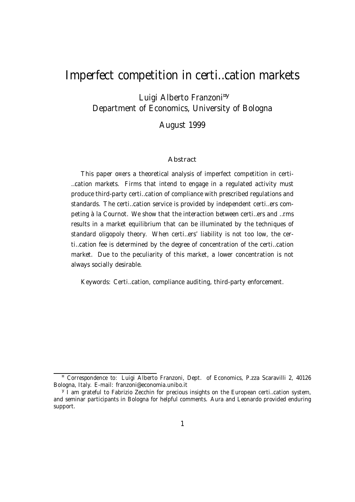# Imperfect competition in certi…cation markets

Luigi Alberto Franzoni<sup>¤y</sup> Department of Economics, University of Bologna

### August 1999

#### **Abstract**

This paper o¤ers a theoretical analysis of imperfect competition in certi- …cation markets. Firms that intend to engage in a regulated activity must produce third-party certi…cation of compliance with prescribed regulations and standards. The certi…cation service is provided by independent certi…ers competing à la Cournot. We show that the interaction between certi…ers and …rms results in a market equilibrium that can be illuminated by the techniques of standard oligopoly theory. When certi…ers' liability is not too low, the certi…cation fee is determined by the degree of concentration of the certi…cation market. Due to the peculiarity of this market, a lower concentration is not always socially desirable.

Keywords: Certi…cation, compliance auditing, third-party enforcement.

<sup>¤</sup> Correspondence to: Luigi Alberto Franzoni, Dept. of Economics, P.zza Scaravilli 2, 40126 Bologna, Italy. E-mail: franzoni@economia.unibo.it

y I am grateful to Fabrizio Zecchin for precious insights on the European certi…cation system, and seminar participants in Bologna for helpful comments. Aura and Leonardo provided enduring support.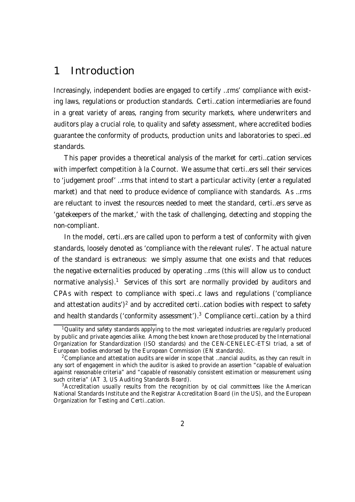## 1 Introduction

Increasingly, independent bodies are engaged to certify …rms' compliance with existing laws, regulations or production standards. Certi…cation intermediaries are found in a great variety of areas, ranging from security markets, where underwriters and auditors play a crucial role, to quality and safety assessment, where accredited bodies guarantee the conformity of products, production units and laboratories to speci…ed standards.

This paper provides a theoretical analysis of the market for certi…cation services with imperfect competition à la Cournot. We assume that certi…ers sell their services to 'judgement proof' …rms that intend to start a particular activity (enter a regulated market) and that need to produce evidence of compliance with standards. As …rms are reluctant to invest the resources needed to meet the standard, certi…ers serve as 'gatekeepers of the market,' with the task of challenging, detecting and stopping the non-compliant.

In the model, certi…ers are called upon to perform a test of conformity with given standards, loosely denoted as 'compliance with the relevant rules'. The actual nature of the standard is extraneous: we simply assume that one exists and that reduces the negative externalities produced by operating …rms (this will allow us to conduct normative analysis).<sup>1</sup> Services of this sort are normally provided by auditors and CPAs with respect to compliance with speci…c laws and regulations ('compliance and attestation audits')<sup>2</sup> and by accredited certi...cation bodies with respect to safety and health standards ('conformity assessment').<sup>3</sup> Compliance certi...cation by a third

<sup>&</sup>lt;sup>1</sup>Quality and safety standards applying to the most variegated industries are regularly produced by public and private agencies alike. Among the best known are those produced by the International Organization for Standardization (ISO standards) and the CEN-CENELEC-ETSI triad, a set of European bodies endorsed by the European Commission (EN standards).

<sup>&</sup>lt;sup>2</sup> Compliance and attestation audits are wider in scope that …nancial audits, as they can result in any sort of engagement in which the auditor is asked to provide an assertion "capable of evaluation against reasonable criteria" and "capable of reasonably consistent estimation or measurement using such criteria" (AT 3, US Auditing Standards Board).

 $3$ Accreditation usually results from the recognition by o $\&$ cial committees like the American National Standards Institute and the Registrar Accreditation Board (in the US), and the European Organization for Testing and Certi…cation.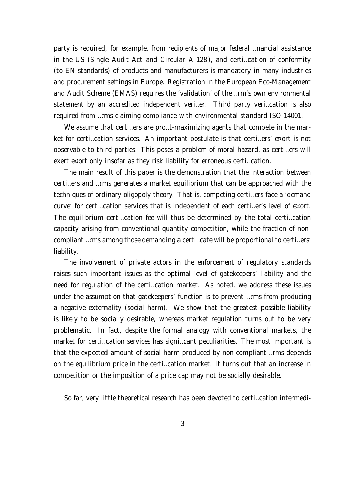party is required, for example, from recipients of major federal …nancial assistance in the US (Single Audit Act and Circular A-128 ), and certi…cation of conformity (to EN standards) of products and manufacturers is mandatory in many industries and procurement settings in Europe. Registration in the European Eco-Management and Audit Scheme (EMAS) requires the 'validation' of the …rm's own environmental statement by an accredited independent veri…er. Third party veri…cation is also required from …rms claiming compliance with environmental standard ISO 14001.

We assume that certimers are promit-maximizing agents that compete in the market for certi…cation services. An important postulate is that certi…ers' e¤ort is not observable to third parties. This poses a problem of moral hazard, as certi…ers will exert e¤ort only insofar as they risk liability for erroneous certi…cation.

The main result of this paper is the demonstration that the interaction between certi…ers and …rms generates a market equilibrium that can be approached with the techniques of ordinary oligopoly theory. That is, competing certi…ers face a 'demand curve' for certi…cation services that is independent of each certi…er's level of e¤ort. The equilibrium certi…cation fee will thus be determined by the total certi…cation capacity arising from conventional quantity competition, while the fraction of noncompliant …rms among those demanding a certi…cate will be proportional to certi…ers' liability.

The involvement of private actors in the enforcement of regulatory standards raises such important issues as the optimal level of gatekeepers' liability and the need for regulation of the certi…cation market. As noted, we address these issues under the assumption that gatekeepers' function is to prevent …rms from producing a negative externality (social harm). We show that the greatest possible liability is likely to be socially desirable, whereas market regulation turns out to be very problematic. In fact, despite the formal analogy with conventional markets, the market for certi…cation services has signi…cant peculiarities. The most important is that the expected amount of social harm produced by non-compliant …rms depends on the equilibrium price in the certi…cation market. It turns out that an increase in competition or the imposition of a price cap may not be socially desirable.

So far, very little theoretical research has been devoted to certi…cation intermedi-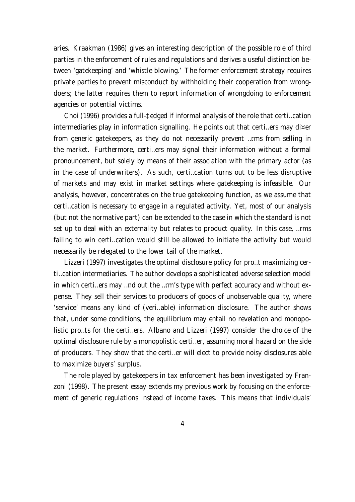aries. Kraakman (1986) gives an interesting description of the possible role of third parties in the enforcement of rules and regulations and derives a useful distinction between 'gatekeeping' and 'whistle blowing.' The former enforcement strategy requires private parties to prevent misconduct by withholding their cooperation from wrongdoers; the latter requires them to report information of wrongdoing to enforcement agencies or potential victims.

Choi (1996) provides a full-‡edged if informal analysis of the role that certi…cation intermediaries play in information signalling. He points out that certi…ers may di¤er from generic gatekeepers, as they do not necessarily prevent …rms from selling in the market. Furthermore, certi…ers may signal their information without a formal pronouncement, but solely by means of their association with the primary actor (as in the case of underwriters). As such, certi…cation turns out to be less disruptive of markets and may exist in market settings where gatekeeping is infeasible. Our analysis, however, concentrates on the true gatekeeping function, as we assume that certi…cation is necessary to engage in a regulated activity. Yet, most of our analysis (but not the normative part) can be extended to the case in which the standard is not set up to deal with an externality but relates to product quality. In this case, …rms failing to win certi…cation would still be allowed to initiate the activity but would necessarily be relegated to the lower tail of the market.

Lizzeri (1997) investigates the optimal disclosure policy for pro…t maximizing certi…cation intermediaries. The author develops a sophisticated adverse selection model in which certi…ers may …nd out the …rm's type with perfect accuracy and without expense. They sell their services to producers of goods of unobservable quality, where 'service' means any kind of (veri…able) information disclosure. The author shows that, under some conditions, the equilibrium may entail no revelation and monopolistic pro…ts for the certi…ers. Albano and Lizzeri (1997) consider the choice of the optimal disclosure rule by a monopolistic certi…er, assuming moral hazard on the side of producers. They show that the certi…er will elect to provide noisy disclosures able to maximize buyers' surplus.

The role played by gatekeepers in tax enforcement has been investigated by Franzoni (1998). The present essay extends my previous work by focusing on the enforcement of generic regulations instead of income taxes. This means that individuals'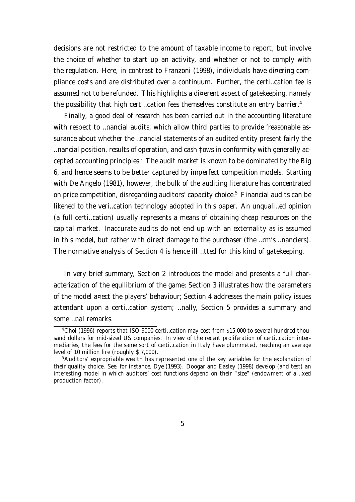decisions are not restricted to the amount of taxable income to report, but involve the choice of whether to start up an activity, and whether or not to comply with the regulation. Here, in contrast to Franzoni (1998), individuals have di¤ering compliance costs and are distributed over a continuum. Further, the certi…cation fee is assumed not to be refunded. This highlights a di¤erent aspect of gatekeeping, namely the possibility that high certi...cation fees themselves constitute an entry barrier.<sup>4</sup>

Finally, a good deal of research has been carried out in the accounting literature with respect to ... nancial audits, which allow third parties to provide 'reasonable assurance about whether the …nancial statements of an audited entity present fairly the …nancial position, results of operation, and cash ‡ows in conformity with generally accepted accounting principles.' The audit market is known to be dominated by the Big 6, and hence seems to be better captured by imperfect competition models. Starting with De Angelo (1981), however, the bulk of the auditing literature has concentrated on price competition, disregarding auditors' capacity choice. <sup>5</sup> Financial audits can be likened to the veri…cation technology adopted in this paper. An unquali…ed opinion (a full certi…cation) usually represents a means of obtaining cheap resources on the capital market. Inaccurate audits do not end up with an externality as is assumed in this model, but rather with direct damage to the purchaser (the …rm's …nanciers). The normative analysis of Section 4 is hence ill …tted for this kind of gatekeeping.

In very brief summary, Section 2 introduces the model and presents a full characterization of the equilibrium of the game; Section 3 illustrates how the parameters of the model a¤ect the players' behaviour; Section 4 addresses the main policy issues attendant upon a certi…cation system; …nally, Section 5 provides a summary and some …nal remarks.

<sup>4</sup>Choi (1996) reports that ISO 9000 certi…cation may cost from \$15,000 to several hundred thousand dollars for mid-sized US companies. In view of the recent proliferation of certi…cation intermediaries, the fees for the same sort of certi…cation in Italy have plummeted, reaching an average level of 10 million lire (roughly \$ 7,000).

<sup>&</sup>lt;sup>5</sup>Auditors' expropriable wealth has represented one of the key variables for the explanation of their quality choice. See, for instance, Dye (1993). Doogar and Easley (1998) develop (and test) an interesting model in which auditors' cost functions depend on their "size" (endowment of a …xed production factor).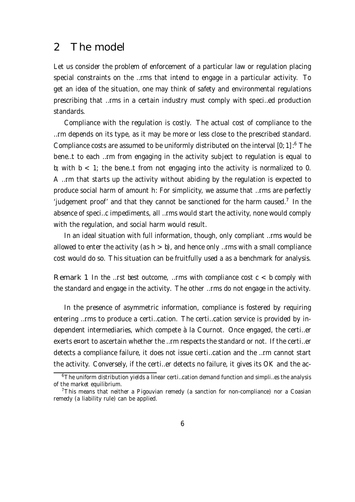## 2 The model

Let us consider the problem of enforcement of a particular law or regulation placing special constraints on the …rms that intend to engage in a particular activity. To get an idea of the situation, one may think of safety and environmental regulations prescribing that …rms in a certain industry must comply with speci…ed production standards.

Compliance with the regulation is costly. The actual cost of compliance to the …rm depends on its type, as it may be more or less close to the prescribed standard. Compliance costs are assumed to be uniformly distributed on the interval  $[0; 1]$ :<sup>6</sup> The bene…t to each …rm from engaging in the activity subject to regulation is equal to b; with  $b < 1$ ; the bene...t from not engaging into the activity is normalized to 0. A …rm that starts up the activity without abiding by the regulation is expected to produce social harm of amount h: For simplicity, we assume that …rms are perfectly 'judgement proof' and that they cannot be sanctioned for the harm caused.<sup>7</sup> In the absence of speci…c impediments, all …rms would start the activity, none would comply with the regulation, and social harm would result.

In an ideal situation with full information, though, only compliant …rms would be allowed to enter the activity (as  $h > b$ ), and hence only ... rms with a small compliance cost would do so. This situation can be fruitfully used a as a benchmark for analysis.

Remark 1 In the …rst best outcome, …rms with compliance cost  $c < b$  comply with the standard and engage in the activity. The other …rms do not engage in the activity.

In the presence of asymmetric information, compliance is fostered by requiring entering …rms to produce a certi…cation. The certi…cation service is provided by independent intermediaries, which compete à la Cournot. Once engaged, the certi…er exerts e¤ort to ascertain whether the …rm respects the standard or not. If the certi…er detects a compliance failure, it does not issue certi…cation and the …rm cannot start the activity. Conversely, if the certi…er detects no failure, it gives its OK and the ac-

<sup>6</sup>The uniform distribution yields a linear certi…cation demand function and simpli…es the analysis of the market equilibrium.

 $7$ This means that neither a Pigouvian remedy (a sanction for non-compliance) nor a Coasian remedy (a liability rule) can be applied.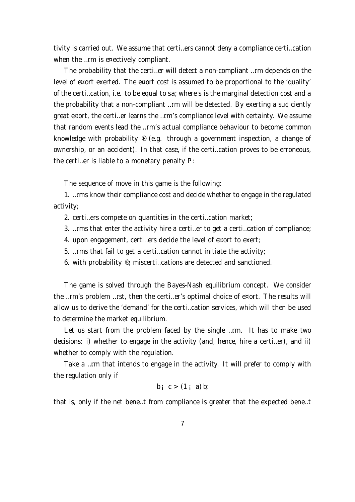tivity is carried out. We assume that certi…ers cannot deny a compliance certi…cation when the …rm is e¤ectively compliant.

The probability that the certi…er will detect a non-compliant …rm depends on the level of e¤ort exerted. The e¤ort cost is assumed to be proportional to the 'quality' of the certi…cation, i.e. to be equal to sa; where s is the marginal detection cost and a the probability that a non-compliant …rm will be detected. By exerting a su¢ciently great e¤ort, the certi…er learns the …rm's compliance level with certainty. We assume that random events lead the …rm's actual compliance behaviour to become common knowledge with probability ® (e.g. through a government inspection, a change of ownership, or an accident). In that case, if the certi…cation proves to be erroneous, the certi…er is liable to a monetary penalty P:

The sequence of move in this game is the following:

1. …rms know their compliance cost and decide whether to engage in the regulated activity;

- 2. certi…ers compete on quantities in the certi…cation market;
- 3. …rms that enter the activity hire a certi…er to get a certi…cation of compliance;
- 4. upon engagement, certi…ers decide the level of e¤ort to exert;
- 5. …rms that fail to get a certi…cation cannot initiate the activity;
- 6. with probability ®; miscerti…cations are detected and sanctioned.

The game is solved through the Bayes-Nash equilibrium concept. We consider the …rm's problem …rst, then the certi…er's optimal choice of e¤ort. The results will allow us to derive the 'demand' for the certi…cation services, which will then be used to determine the market equilibrium.

Let us start from the problem faced by the single …rm. It has to make two decisions: i) whether to engage in the activity (and, hence, hire a certi…er), and ii) whether to comply with the regulation.

Take a …rm that intends to engage in the activity. It will prefer to comply with the regulation only if

$$
b_i c > (1_i a) b;
$$

that is, only if the net bene…t from compliance is greater that the expected bene…t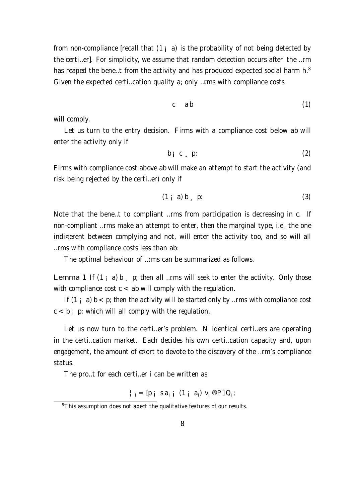from non-compliance [recall that  $(1; a)$  is the probability of not being detected by the certi…er]. For simplicity, we assume that random detection occurs after the …rm has reaped the bene...t from the activity and has produced expected social harm h. $^8$ Given the expected certi…cation quality a; only …rms with compliance costs

$$
c \quad ab \qquad (1)
$$

will comply.

Let us turn to the entry decision. Firms with a compliance cost below ab will enter the activity only if

$$
b \mid c \, , \, p: \tag{2}
$$

Firms with compliance cost above ab will make an attempt to start the activity (and risk being rejected by the certi…er) only if

$$
(1 \quad a) b \quad p:
$$
 (3)

Note that the bene…t to compliant …rms from participation is decreasing in c. If non-compliant …rms make an attempt to enter, then the marginal type, i.e. the one indi¤erent between complying and not, will enter the activity too, and so will all …rms with compliance costs less than ab:

The optimal behaviour of …rms can be summarized as follows.

Lemma 1 If  $(1; a)$  b  $\mu$ ; then all …rms will seek to enter the activity. Only those with compliance cost  $c < ab$  will comply with the regulation.

If  $(1; a)$  b < p; then the activity will be started only by ... rms with compliance cost  $c < b_i$  p; which will all comply with the regulation.

Let us now turn to the certi...er's problem. N identical certi...ers are operating in the certi…cation market. Each decides his own certi…cation capacity and, upon engagement, the amount of e¤ort to devote to the discovery of the …rm's compliance status.

The pro…t for each certi…er i can be written as

 $i_{i} = [p_{i} \text{ sa}_{i} \text{ j} (1 \text{ j} \text{ a}_{i}) \text{ v}_{i} \text{ P}] Q_{i};$ 

 $8$ This assumption does not a¤ect the qualitative features of our results.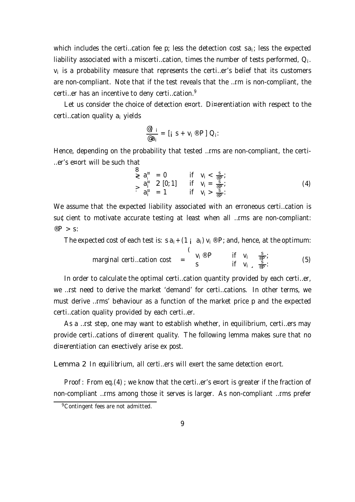which includes the certi…cation fee  $\bm{{\mathsf{p}}}$ ; less the detection cost sa $_i$ ; less the expected liability associated with a miscerti...cation, times the number of tests performed,  $Q_i$ .  $\bm{{\mathsf{v}}}_\text{i}$  is a probability measure that represents the certi…er's belief that its customers are non-compliant. Note that if the test reveals that the …rm is non-compliant, the certi…er has an incentive to deny certi…cation. $^9$ 

Let us consider the choice of detection e¤ort. Di¤erentiation with respect to the certi... cation quality  $a_i$  yields

$$
\frac{\text{ }{\text{ }n\text{ }j\text{ }j}}{\text{ }{\text{ }n\text{ }j\text{ }i\text{ }j}} = \left[\text{i} \text{ } s + v_i \text{ } \text{ }{\text{ }n\text{ }P} \right] \text{ } Q_i \text{:}
$$

Hence, depending on the probability that tested …rms are non-compliant, the certi- …er's e¤ort will be such that

$$
\begin{array}{llll}\n\mathbf{8} & \mathbf{a}_{i}^{\mathbf{m}} & = 0 & \text{if} & \mathbf{v}_{i} < \frac{S}{\circledcirc P}; \\
\mathbf{a}_{i}^{\mathbf{m}} & \mathbf{2} \left[ 0; 1 \right] & \text{if} & \mathbf{v}_{i} = \frac{S}{\circledcirc P}; \\
\mathbf{a}_{i}^{\mathbf{m}} & = 1 & \text{if} & \mathbf{v}_{i} > \frac{S}{\circledcirc P}. \n\end{array} \tag{4}
$$

We assume that the expected liability associated with an erroneous certi...cation is su¢cient to motivate accurate testing at least when all …rms are non-compliant:  $\mathbb{P}$  > s:

The expected cost of each test is:  $sa_i + (1 \, i \, a_i) v_i \otimes P$ ; and, hence, at the optimum:

\n marginal certain condition cost = \n 
$$
\begin{cases} \n \mathbf{v}_i \otimes \mathbf{P} & \text{if } \mathbf{v}_i \quad \frac{\mathbf{s}}{\otimes \mathbf{P}}; \\
 \mathbf{S} & \text{if } \mathbf{v}_i \quad \frac{\mathbf{s}}{\otimes \mathbf{P}}.\n \end{cases}
$$
\n

In order to calculate the optimal certi…cation quantity provided by each certi…er, we …rst need to derive the market 'demand' for certi…cations. In other terms, we must derive …rms' behaviour as a function of the market price p and the expected certi…cation quality provided by each certi…er.

As a …rst step, one may want to establish whether, in equilibrium, certi…ers may provide certi…cations of di¤erent quality. The following lemma makes sure that no di¤erentiation can e¤ectively arise ex post.

Lemma 2 In equilibrium, all certi…ers will exert the same detection e¤ort.

Proof : From eq.(4); we know that the certi...er's e¤ort is greater if the fraction of non-compliant …rms among those it serves is larger. As non-compliant …rms prefer

<sup>&</sup>lt;sup>9</sup> Contingent fees are not admitted.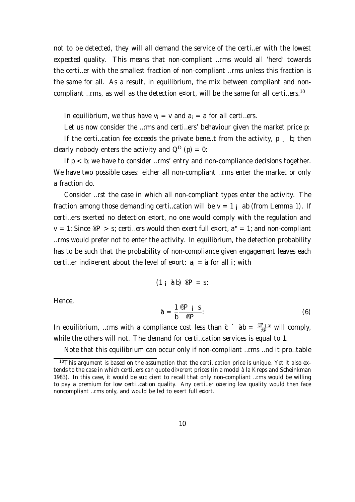not to be detected, they will all demand the service of the certi…er with the lowest expected quality. This means that non-compliant …rms would all 'herd' towards the certi…er with the smallest fraction of non-compliant …rms unless this fraction is the same for all. As a result, in equilibrium, the mix between compliant and noncompliant …rms, as well as the detection e¤ort, will be the same for all certi…ers.<sup>10</sup>

In equilibrium, we thus have  $v_i = v$  and  $a_i = a$  for all certimers.

Let us now consider the …rms and certi…ers' behaviour given the market price p:

If the certi…cation fee exceeds the private bene…t from the activity,  $p \cdot b$ ; then clearly nobody enters the activity and  $Q^D(p) = 0$ :

If  $p < b$ ; we have to consider ... rms' entry and non-compliance decisions together. We have two possible cases: either all non-compliant ... rms enter the market or only a fraction do.

Consider …rst the case in which all non-compliant types enter the activity. The fraction among those demanding certi...cation will be  $v = 1$ ; ab (from Lemma 1). If certi…ers exerted no detection e¤ort, no one would comply with the regulation and  $v = 1$ : Since ®P  $>$  s; certi…ers would then exert full e¤ort, a $^{\tt\tt\tt}$  = 1; and non-compliant …rms would prefer not to enter the activity. In equilibrium, the detection probability has to be such that the probability of non-compliance given engagement leaves each certi…er indi¤erent about the level of e¤ort:  $a_i = \hat{a}$  for all i; with

$$
(1 \mathbf{i} \quad \mathbf{a} \mathbf{b}) \mathbf{P} = \mathbf{s}:
$$

Hence,

$$
\mathbf{a} = \frac{1}{b} \frac{\mathbf{B} \mathbf{P} \mathbf{i} \mathbf{S}}{\mathbf{B} \mathbf{P}}.
$$
 (6)

In equilibrium, ... rms with a compliance cost less than  $d \hat{\ }$  ab =  $\frac{\text{op}_{i}s}{\text{op}}$  will comply, while the others will not. The demand for certi…cation services is equal to 1.

Note that this equilibrium can occur only if non-compliant …rms …nd it pro…table

 $10$ This argument is based on the assumption that the certi. cation price is unique. Yet it also extends to the case in which certi…ers can quote di¤erent prices (in a model à la Kreps and Scheinkman 1983). In this case, it would be su¢cient to recall that only non-compliant …rms would be willing to pay a premium for low certi...cation quality. Any certi...er o¤ering low quality would then face noncompliant …rms only, and would be led to exert full e¤ort.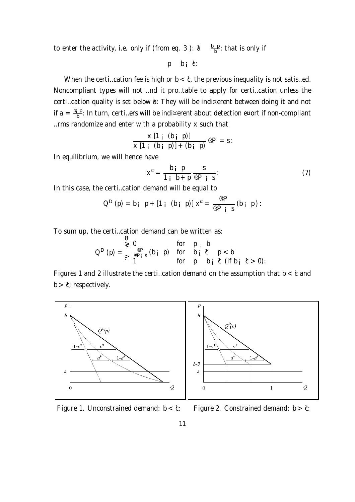to enter the activity, i.e. only if (from eq. 3 ):  $\hat{a} = \frac{b_i - p}{b}$ ; that is only if

 $p$   $b$   $i$   $d$ :

When the certi...cation fee is high or  $b < b$ , the previous inequality is not satis...ed. Noncompliant types will not …nd it pro…table to apply for certi…cation unless the certi...cation quality is set below a: They will be indi¤erent between doing it and not if  $a = \frac{b_i - p}{b}$ : In turn, certi…ers will be indi¤erent about detection e¤ort if non-compliant …rms randomize and enter with a probability x such that

$$
\frac{x [1 \mathbf{i} (b \mathbf{i} p)]}{x [1 \mathbf{i} (b \mathbf{i} p)] + (b \mathbf{i} p)} \circ P = s:
$$

In equilibrium, we will hence have

$$
x^{\alpha} = \frac{b \, \mathsf{i} \, p}{1 \, \mathsf{i} \, b + p} \, \frac{s}{\mathsf{P} \, \mathsf{i} \, s} \tag{7}
$$

In this case, the certi…cation demand will be equal to

$$
Q^{D} (p) = b i p + [1 i (b i p)] xn = \frac{\text{P} P}{\text{P} i S} (b i p):
$$

To sum up, the certi…cation demand can be written as:

$$
Q^{D} (p) = \sum_{\geq 0}^{\infty} \frac{\binom{p}{p}}{1 - \binom{p}{q}} \quad \text{for} \quad p \in \mathfrak{b}
$$
\n
$$
Q^{D} (p) = \sum_{\geq 0}^{\infty} \frac{\binom{p}{p}}{1 - \binom{p}{q}} \quad \text{for} \quad p \in \mathfrak{b}
$$
\n
$$
P(p) = \sum_{\geq 0}^{\infty} \frac{\binom{p}{p}}{1 - \binom{p}{q}} \quad \text{for} \quad p \in \mathfrak{b}
$$

Figures 1 and 2 illustrate the certi...cation demand on the assumption that  $b < \theta$  and  $b > c$ ; respectively.





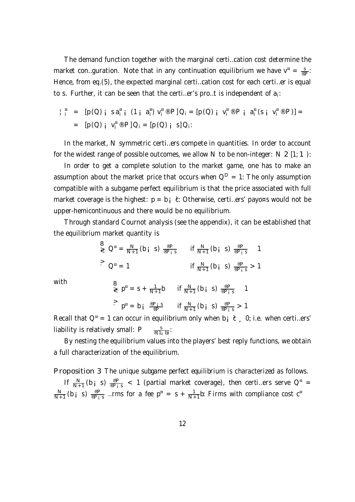The demand function together with the marginal certi…cation cost determine the market con...guration. Note that in any continuation equilibrium we have  $v^{\pi} = \frac{S}{\omega t}$  $\frac{\mathsf{S}}{\circledast \mathsf{P}}$  : Hence, from eq.(5), the expected marginal certi…cation cost for each certi…er is equal to s. Further, it can be seen that the certi...er's pro...t is independent of  $a_i$ :

$$
\begin{array}{rcl}\n\vert\ \mathbf{a}^{n} & = & [\mathbf{p}(\mathbf{Q})_{i} \; \mathbf{s} \, \mathbf{a}_{i}^{n} \; \mathbf{i} \; (\mathbf{1}_{i} \; \mathbf{a}_{i}^{n}) \; \mathbf{v}_{i}^{n} \circledast \mathbf{P}] \, \mathbf{Q}_{i} = [\mathbf{p}(\mathbf{Q})_{i} \; \mathbf{v}_{i}^{n} \circledast \mathbf{P} \; \mathbf{i} \; \mathbf{a}_{i}^{n} (\mathbf{s} \; \mathbf{i} \; \mathbf{v}_{i}^{n} \circledast \mathbf{P})] = \\
& = & [\mathbf{p}(\mathbf{Q})_{i} \; \mathbf{v}_{i}^{n} \circledast \mathbf{P}] \, \mathbf{Q}_{i} = [\mathbf{p}(\mathbf{Q})_{i} \; \mathbf{s}] \, \mathbf{Q}_{i} \\
\end{array}
$$

In the market, N symmetric certi…ers compete in quantities. In order to account for the widest range of possible outcomes, we allow N to be non-integer: N 2 [1; 1):

In order to get a complete solution to the market game, one has to make an assumption about the market price that occurs when  $Q^D = 1$ : The only assumption compatible with a subgame perfect equilibrium is that the price associated with full market coverage is the highest:  $p = b_i$  d: Otherwise, certi…ers' payo¤s would not be upper-hemicontinuous and there would be no equilibrium.

Through standard Cournot analysis (see the appendix), it can be established that the equilibrium market quantity is

$$
\sum_{i=1}^{3} Q^{i} = \frac{N}{N+1} (b_i s) \frac{\binom{m}{p}}{\binom{m}{p}} s \quad \text{if } \frac{N}{N+1} (b_i s) \frac{\binom{m}{p}}{\binom{m}{p}} s \quad 1
$$
\n
$$
\sum_{i=1}^{3} Q^{i} = 1 \quad \text{if } \frac{N}{N+1} (b_i s) \frac{\binom{m}{p}}{\binom{m}{p}} s > 1
$$

with

 $\sum p^{\alpha} = S + \frac{1}{N+1}$  $\sum_{i=1}^{n} p_i = b_i$   $\frac{\text{p}_i s}{\text{p}_i}$  if  $\frac{N}{N+1}$  $\frac{1}{N+1}$ b if  $\frac{N}{N+1}$  $\frac{N}{N+1}$  (b j s)  $\frac{\text{eP}}{\text{eP}}$  $\frac{^{op}}{^{op}}$ <sub>5</sub> 1  $\frac{N}{N+1}$  (b j s)  $\frac{\text{op}}{\text{op}}_{j,s} > 1$ 

Recall that  $Q^a = 1$  can occur in equilibrium only when b i  $d = 0$ ; i.e. when certi…ers' liability is relatively small: P s  $\frac{s}{\circledast(1_{i} b)}$ :

By nesting the equilibrium values into the players' best reply functions, we obtain a full characterization of the equilibrium.

Proposition 3 The unique subgame perfect equilibrium is characterized as follows.

If  $\frac{N}{N}$  $\frac{N}{N+1}$  (b i s)  $\frac{\text{op}}{\text{op}}$  s  $\frac{N}{N+2}$  (partial market coverage), then certi…ers serve  $Q^{\pi}$  = N  $\frac{N}{N+1}$  (b j s)  $\frac{\text{op}}{\text{op}}$  j  $\frac{\text{op}}{\text{op}}_{i}$  is ... rms for a fee  $p^{\text{m}} = S + \frac{1}{N+1}$  $\frac{1}{N+1}$ b: Firms with compliance cost c $\infty$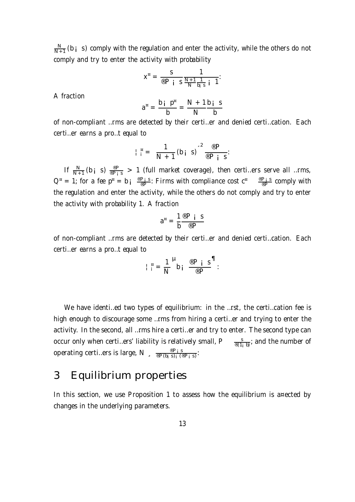N  $\frac{N}{N+1}$  (b <sub>i</sub> s) comply with the regulation and enter the activity, while the others do not comply and try to enter the activity with probability

$$
x^{\mathrm{m}} = \frac{\mathrm{S}}{\circledast \mathrm{P} \ \mathrm{i} \ \mathrm{S}} \frac{1}{\frac{\mathrm{N}+1}{\mathrm{N}} \frac{1}{\mathrm{b}_{\mathrm{i}}} \ \mathrm{s} \ \mathrm{i} \ \mathrm{1}}.
$$

A fraction

$$
a^{n} = \frac{b \mathbf{i} \ p^{n}}{b} = \frac{N+1}{N} \frac{b \mathbf{i} \ s}{b}
$$

of non-compliant …rms are detected by their certi…er and denied certi…cation. Each certi…er earns a pro…t equal to

$$
\Big| \Big|_i^{\pi} = \frac{1}{N+1} (b_i \ s)^{2} \frac{\text{P}}{\text{P}} \frac{\text{P}}{\text{P}} \text{s}
$$

If  $\frac{N}{N+1}$  $\frac{N}{N+1}$  (b i s)  $\frac{\text{op}}{\text{op}}_{1}$  s > 1 (full market coverage), then certi…ers serve all …rms,  $Q^{\alpha} = 1$ ; for a fee  $p^{\alpha} = b$  i  $\frac{\text{op}_{i}s}{\text{op}}$ : Firms with compliance cost  $c^{\alpha}$   $\frac{\text{op}_{i}s}{\text{op}}$  comply with the regulation and enter the activity, while the others do not comply and try to enter the activity with probability 1. A fraction

$$
a^{\tt\scriptscriptstyle u} \,=\, \frac{1}{b} \frac{{}^{\text{\textregistered}} P \text{ }}{ {}^{\text{\textregistered}} P} \, \frac{S}{}
$$

of non-compliant …rms are detected by their certi…er and denied certi…cation. Each certi…er earns a pro…t equal to

$$
\begin{array}{c}\n\vdots \\
\vdots\n\end{array} = \frac{1}{N} \begin{array}{c}\n\mathsf{H} \\
\mathsf{b} \\
\vdots\n\end{array} \quad \frac{\text{op}_i}{\text{op}} \cdot \frac{\mathsf{s}}{\mathsf{I}} \\
\vdots\n\end{array}
$$

We have identimed two types of equilibrium: in the mirst, the certimication fee is high enough to discourage some …rms from hiring a certi…er and trying to enter the activity. In the second, all …rms hire a certi…er and try to enter. The second type can occur only when certi…ers' liability is relatively small, P s  $\frac{s}{\circledast(1_{i} b)}$ ; and the number of operating certi…ers is large, N  $_{\mathrm{\mathsf{\mathfrak{so}}}}$   $\frac{\text{\textcircled{\tiny{\mathfrak{sp}}}}_{\mathrm{\mathfrak{so}}}}{\text{\textcircled{\tiny{\mathfrak{sp}}}}_{\mathrm{\mathfrak{sp}}}}$  $\frac{\text{P}}{\text{P}}\frac{\text{P}}{\text{P}}\frac{\text{S}}{\text{S}}\text{P}}{\text{P}}\left(\text{b}_i \text{ s}\right) \text{i} \left(\text{P} \text{P}_i \text{ s}\right)}$ 

### 3 Equilibrium properties

In this section, we use Proposition 1 to assess how the equilibrium is a¤ected by changes in the underlying parameters.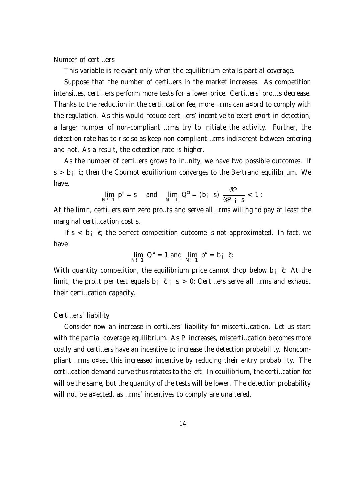Number of certi…ers

This variable is relevant only when the equilibrium entails partial coverage.

Suppose that the number of certi…ers in the market increases. As competition intensi…es, certi…ers perform more tests for a lower price. Certi…ers' pro…ts decrease. Thanks to the reduction in the certi…cation fee, more …rms can a¤ord to comply with the regulation. As this would reduce certi…ers' incentive to exert e¤ort in detection, a larger number of non-compliant …rms try to initiate the activity. Further, the detection rate has to rise so as keep non-compliant …rms indi¤erent between entering and not. As a result, the detection rate is higher.

As the number of certi…ers grows to in…nity, we have two possible outcomes. If  $s > b_i$   $d_i$ ; then the Cournot equilibrium converges to the Bertrand equilibrium. We have,

$$
\lim_{N! \ 1} p^{\alpha} = s \quad \text{and} \quad \lim_{N! \ 1} Q^{\alpha} = (b \ i \ s) \ \frac{\text{op}}{\text{op}} \ \frac{\ }{s} < 1:
$$

At the limit, certi…ers earn zero pro…ts and serve all …rms willing to pay at least the marginal certi…cation cost s.

If  $s < b_i$  d; the perfect competition outcome is not approximated. In fact, we have

lim N!1 Q ¤ = 1 and lim N!1 p ¤ = b ¡ c¹:

With quantity competition, the equilibrium price cannot drop below b  $\mathfrak{g}$   $\mathfrak{e}$ : At the limit, the pro…t per test equals b;  $c_i$  s > 0: Certi…ers serve all …rms and exhaust their certi…cation capacity.

#### Certi…ers' liability

Consider now an increase in certi…ers' liability for miscerti…cation. Let us start with the partial coverage equilibrium. As P increases, miscerti...cation becomes more costly and certi…ers have an incentive to increase the detection probability. Noncompliant …rms o¤set this increased incentive by reducing their entry probability. The certi…cation demand curve thus rotates to the left. In equilibrium, the certi…cation fee will be the same, but the quantity of the tests will be lower. The detection probability will not be a¤ected, as …rms' incentives to comply are unaltered.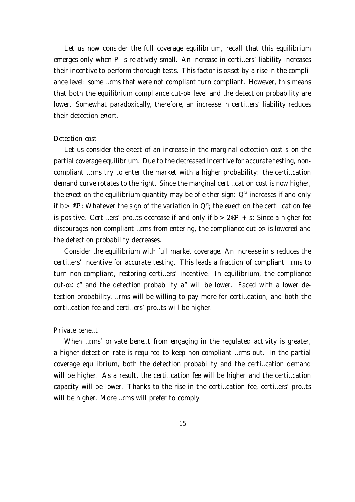Let us now consider the full coverage equilibrium, recall that this equilibrium emerges only when P is relatively small. An increase in certi…ers' liability increases their incentive to perform thorough tests. This factor is o¤set by a rise in the compliance level: some …rms that were not compliant turn compliant. However, this means that both the equilibrium compliance cut-o $\alpha$  level and the detection probability are lower. Somewhat paradoxically, therefore, an increase in certi…ers' liability reduces their detection e¤ort.

#### Detection cost

Let us consider the e¤ect of an increase in the marginal detection cost s on the partial coverage equilibrium. Due to the decreased incentive for accurate testing, noncompliant …rms try to enter the market with a higher probability: the certi…cation demand curve rotates to the right. Since the marginal certi…cation cost is now higher, the e¤ect on the equilibrium quantity may be of either sign:  $Q^{\alpha}$  increases if and only if  $b > \mathcal{D}P$ : Whatever the sign of the variation in  $Q^{\alpha}$ ; the e¤ect on the certi...cation fee is positive. Certimers' promits decrease if and only if  $b > 2^{\circledR}P + s$ : Since a higher fee discourages non-compliant …rms from entering, the compliance cut-o¤ is lowered and the detection probability decreases.

Consider the equilibrium with full market coverage. An increase in s reduces the certi…ers' incentive for accurate testing. This leads a fraction of compliant …rms to turn non-compliant, restoring certi…ers' incentive. In equilibrium, the compliance cut-o¤ c<sup>¤</sup> and the detection probability a<sup>¤</sup> will be lower. Faced with a lower detection probability, …rms will be willing to pay more for certi…cation, and both the certi…cation fee and certi…ers' pro…ts will be higher.

#### Private bene t

When ... rms' private bene...t from engaging in the regulated activity is greater, a higher detection rate is required to keep non-compliant …rms out. In the partial coverage equilibrium, both the detection probability and the certi…cation demand will be higher. As a result, the certi…cation fee will be higher and the certi…cation capacity will be lower. Thanks to the rise in the certi…cation fee, certi…ers' pro…ts will be higher. More …rms will prefer to comply.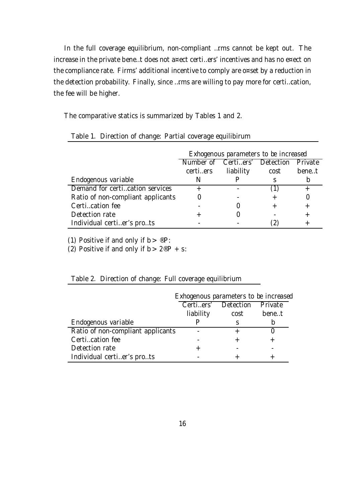In the full coverage equilibrium, non-compliant …rms cannot be kept out. The increase in the private bene…t does not a¤ect certi…ers' incentives and has no e¤ect on the compliance rate. Firms' additional incentive to comply are o¤set by a reduction in the detection probability. Finally, since …rms are willing to pay more for certi…cation, the fee will be higher.

The comparative statics is summarized by Tables 1 and 2.

|                                   | Exhogenous parameters to be increased |           |      |       |  |
|-----------------------------------|---------------------------------------|-----------|------|-------|--|
|                                   | Number of Certiers' Detection Private |           |      |       |  |
|                                   | certiers                              | liability | cost | benet |  |
| Endogenous variable               | N                                     |           |      |       |  |
| Demand for certication services   |                                       |           |      |       |  |
| Ratio of non-compliant applicants |                                       |           |      |       |  |
| Certication fee                   |                                       |           |      |       |  |
| Detection rate                    |                                       |           |      |       |  |
| Individual certier's prots        |                                       |           |      |       |  |

### Table 1. Direction of change: Partial coverage equilibirum

(1) Positive if and only if  $b > \mathbb{P}$ :

(2) Positive if and only if  $b > 2^{\circledR}P + s$ :

|                                   | Exhogenous parameters to be increased |                             |       |  |
|-----------------------------------|---------------------------------------|-----------------------------|-------|--|
|                                   |                                       | Certiers' Detection Private |       |  |
|                                   | liability                             | cost                        | benet |  |
| Endogenous variable               |                                       |                             |       |  |
| Ratio of non-compliant applicants |                                       |                             |       |  |
| Certication fee                   |                                       |                             |       |  |
| Detection rate                    |                                       |                             |       |  |
| Individual certier's prots        |                                       |                             |       |  |

### Table 2. Direction of change: Full coverage equilibrium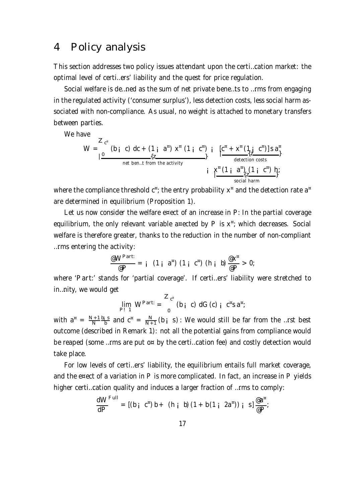## 4 Policy analysis

This section addresses two policy issues attendant upon the certi…cation market: the optimal level of certi…ers' liability and the quest for price regulation.

Social welfare is de…ned as the sum of net private bene…ts to …rms from engaging in the regulated activity ('consumer surplus'), less detection costs, less social harm associated with non-compliance. As usual, no weight is attached to monetary transfers between parties.

We have

$$
W = \frac{Z_{c^{n}}}{\sqrt{1 + \frac{Q_{c^{n}}}{n}}
$$

where the compliance threshold  $c^{\alpha}$ ; the entry probability  $x^{\alpha}$  and the detection rate  $a^{\alpha}$ are determined in equilibrium (Proposition 1).

Let us now consider the welfare e¤ect of an increase in P: In the partial coverage equilibrium, the only relevant variable a¤ected by P is x<sup>¤</sup>; which decreases. Social welfare is therefore greater, thanks to the reduction in the number of non-compliant …rms entering the activity:

$$
\frac{\mathscr{C}\mathsf{W}^{\mathsf{Part}:}}{\mathscr{C}\mathsf{P}}\,=\,j\,(1\,j\,a^{n})\,(1\,j\,c^{n})\,(h\,j\,b)\,\frac{\mathscr{C}\mathsf{X}^{n}}{\mathscr{C}\mathsf{P}}>0;
$$

where 'Part:' stands for 'partial coverage'. If certi…ers' liability were stretched to in…nity, we would get

$$
\lim_{P \,:\, | \, -1} W^{\mathsf{Part:}} = \frac{z_{c^{\mathfrak{n}}}}{0} \,(\mathfrak{b} \, \,:\, \, c) \, \,dG \,(c) \, \,:\, \, c^{\mathfrak{n}} s \, a^{\mathfrak{n}};
$$

with  $a^{\alpha} = \frac{N+1}{N}$  $\frac{d+1}{N}$   $\frac{b_i}{b}$  and  $c^n = \frac{N}{N+1}$  $\frac{N}{N+1}$  (b  $\frac{N}{N}$ ): We would still be far from the …rst best outcome (described in Remark 1): not all the potential gains from compliance would be reaped (some …rms are put o¤ by the certi…cation fee) and costly detection would take place.

For low levels of certi…ers' liability, the equilibrium entails full market coverage, and the e¤ect of a variation in P is more complicated. In fact, an increase in P yields higher certi…cation quality and induces a larger fraction of …rms to comply:

$$
\frac{dW}{dP}^{Full} = [(b \, i \, c^n) b + (h \, i \, b) (1 + b (1 \, i \, 2a^n)) \, i \, s] \, \frac{\text{d}a^n}{\text{d}P};
$$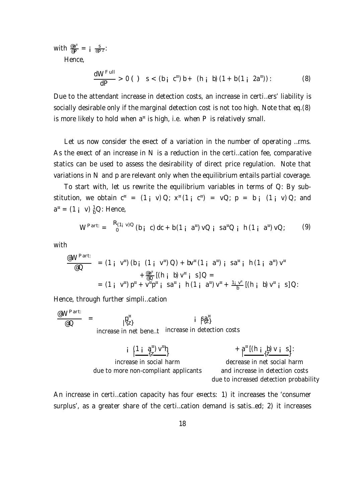with  $\frac{\omega a^n}{\omega P} = i \frac{s}{\omega P^2}$ : Hence,

$$
\frac{dW^{Full}}{dP} > 0 \ ( \ ) \ s < (b \ i \ cn) b + (h \ i \ b) (1 + b (1 \ i \ 2an)): \qquad \qquad (8)
$$

Due to the attendant increase in detection costs, an increase in certi…ers' liability is socially desirable only if the marginal detection cost is not too high. Note that eq.(8) is more likely to hold when a<sup>¤</sup> is high, i.e. when P is relatively small.

Let us now consider the e¤ect of a variation in the number of operating ... rms. As the e¤ect of an increase in N is a reduction in the certi...cation fee, comparative statics can be used to assess the desirability of direct price regulation. Note that variations in N and p are relevant only when the equilibrium entails partial coverage.

To start with, let us rewrite the equilibrium variables in terms of Q: By substitution, we obtain c ¤ = (1 ¡ v) Q; x ¤ (1 ¡ c ¤ ) = vQ; p = b ¡ (1 ¡ v) Q; and  $a^{\alpha} = (1 \text{ i } \text{ v}) \frac{1}{b} Q$ : Hence,

$$
W^{Part:} = \begin{array}{cc} R_{(1)} \vee Q & (b_i \ c) \, dc + b \, (1 \, i \, a^n) \vee Q_i \, s a^n Q \, i \, h \, (1 \, i \, a^n) \vee Q; \end{array} \tag{9}
$$

with

$$
\frac{\text{eW}^{\text{Part:}}}{\text{eQ}} = (1 \, \text{i} \, \text{V}^{\text{H}}) \, (\text{b} \, \text{i} \, (1 \, \text{i} \, \text{V}^{\text{H}}) \, \text{Q}) + \text{bV}^{\text{H}} \, (1 \, \text{i} \, \text{a}^{\text{H}}) \, \text{i} \, \text{S} \text{a}^{\text{H}} \, \text{i} \, \text{h} (1 \, \text{i} \, \text{a}^{\text{H}}) \, \text{V}^{\text{H}} \\
+ \frac{\text{e} \, \text{a}^{\text{H}}}{\text{eQ}} \, [(\text{h} \, \text{i} \, \text{b}) \, \text{V}^{\text{H}} \, \text{j} \, \text{S}] \, \text{Q} = \\
= (1 \, \text{i} \, \text{V}^{\text{H}}) \, \text{p}^{\text{H}} + \text{V}^{\text{H}} \text{p}^{\text{H}} \, \text{j} \, \text{S} \text{a}^{\text{H}} \, \text{j} \, \text{h} (1 \, \text{i} \, \text{a}^{\text{H}}) \, \text{V}^{\text{H}} + \frac{1 \, \text{i} \, \text{V}^{\text{H}}}{\text{b}} \, [(\text{h} \, \text{i} \, \text{b}) \, \text{V}^{\text{H}} \, \text{j} \, \text{S}] \, \text{Q}.
$$

Hence, through further simpli…cation

$$
\frac{\text{@W}^{\text{Part:}}}{\text{@Q}} = \bigcup_{\substack{\text{[dz]}}^{\text{E}}} \text{[z]} \text{[z]} \text{[z]} \text{[z]} \text{[z]} \text{[z]} \text{[z]} \text{[z]} \text{[z]} \text{[z]} \text{[z]} \text{[z]} \text{[z]} \text{[z]} \text{[z]} \text{[z]} \text{[z]} \text{[z]} \text{[z]} \text{[z]} \text{[z]} \text{[z]} \text{[z]} \text{[z]} \text{[z]} \text{[z]} \text{[z]} \text{[z]} \text{[z]} \text{[z]} \text{[z]} \text{[z]} \text{[z]} \text{[z]} \text{[z]} \text{[z]} \text{[z]} \text{[z]} \text{[z]} \text{[z]} \text{[z]} \text{[z]} \text{[z]} \text{[z]} \text{[z]} \text{[z]} \text{[z]} \text{[z]} \text{[z]} \text{[z]} \text{[z]} \text{[z]} \text{[z]} \text{[z]} \text{[z]} \text{[z]} \text{[z]} \text{[z]} \text{[z]} \text{[z]} \text{[z]} \text{[z]} \text{[z]} \text{[z]} \text{[z]} \text{[z]} \text{[z]} \text{[z]} \text{[z]} \text{[z]} \text{[z]} \text{[z]} \text{[z]} \text{[z]} \text{[z]} \text{[z]} \text{[z]} \text{[z]} \text{[z]} \text{[z]} \text{[z]} \text{[z]} \text{[z]} \text{[z]} \text{[z]} \text{[z]} \text{[z]} \text{[z]} \text{[z]} \text{[z]} \text{[z]} \text{[z]} \text{[z]} \text{[z]} \text{[z]} \text{[z]} \text{[z]} \text{[z]} \text{[z]} \text{[z]} \text{[z]} \text{[z]} \text{[z]} \text{[z]} \text{[z]} \text{[z]} \text{[z]} \text{[z]} \text{[z]} \text{[z]} \text{[z]} \text{[z]} \text{[z]} \text{[z]} \text{[z]} \text{[z]} \text{[z]} \text{[z]} \text{[z]} \text{
$$

i  $\frac{(1 - a^{n}) v^{n}}{2}$  $\sum_{i=1}^n$ 

 $+ a^{n} [(h_{i} b) v_{i} s]$ :

increase in social harm due to more non-compliant applicants

 $\begin{array}{ccc} \overbrace{\phantom{a}} & \overbrace{\phantom{a}} & \overbrace{\phantom{a}} & \overbrace{\phantom{a}} & \overbrace{\phantom{a}} & \overbrace{\phantom{a}} & \overbrace{\phantom{a}} & \overbrace{\phantom{a}} & \overbrace{\phantom{a}} & \overbrace{\phantom{a}} & \overbrace{\phantom{a}} & \overbrace{\phantom{a}} & \overbrace{\phantom{a}} & \overbrace{\phantom{a}} & \overbrace{\phantom{a}} & \overbrace{\phantom{a}} & \overbrace{\phantom{a}} & \overbrace{\phantom{a}} & \overbrace{\phantom{a}} & \overbrace{\phantom{a}} & \overbrace{\phantom{a}} & \overbrace$ decrease in net social harm and increase in detection costs due to increased detection probability

An increase in certi...cation capacity has four e¤ects: 1) it increases the 'consumer surplus', as a greater share of the certi…cation demand is satis…ed; 2) it increases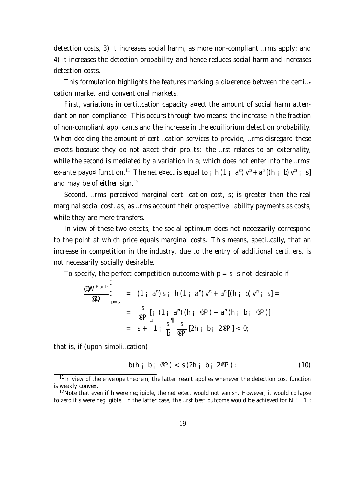detection costs, 3) it increases social harm, as more non-compliant …rms apply; and 4) it increases the detection probability and hence reduces social harm and increases detection costs.

This formulation highlights the features marking a di¤erence between the certi… cation market and conventional markets.

First, variations in certi…cation capacity a¤ect the amount of social harm attendant on non-compliance. This occurs through two means: the increase in the fraction of non-compliant applicants and the increase in the equilibrium detection probability. When deciding the amount of certi...cation services to provide, ... rms disregard these e¤ects because they do not a¤ect their pro…ts: the …rst relates to an externality, while the second is mediated by a variation in a; which does not enter into the ...rms' ex-ante payo¤ function.<sup>11</sup> The net e¤ect is equal to <sub>i</sub> h (1 <sub>i</sub> a<sup>¤</sup>) v<sup>¤</sup> + a<sup>¤</sup> [(h <sub>i</sub> b) v<sup>¤</sup> <sub>i</sub> s] and may be of either sign.<sup>12</sup>

Second, …rms perceived marginal certi…cation cost, s; is greater than the real marginal social cost, as; as …rms account their prospective liability payments as costs, while they are mere transfers.

In view of these two e¤ects, the social optimum does not necessarily correspond to the point at which price equals marginal costs. This means, speci…cally, that an increase in competition in the industry, due to the entry of additional certi…ers, is not necessarily socially desirable.

To specify, the perfect competition outcome with  $p = s$  is not desirable if

$$
\frac{\mathscr{E}W^{\text{Part}:}}{\mathscr{E}Q} = (1 \, \text{i} \, a^{n}) s_{i} \, h(1 \, \text{i} \, a^{n}) v^{n} + a^{n} \, [(h \, \text{i} \, b) v^{n} \, \text{i} \, s] =
$$
\n
$$
= \frac{s}{\mathscr{E}P} \left[ i \, (1 \, \text{i} \, a^{n}) (h \, \text{i} \, \mathscr{E}P) + a^{n} (h \, \text{i} \, b \, \text{i} \, \mathscr{E}P) \right]
$$
\n
$$
= s + 1 \, \text{i} \, \frac{s}{b} \, \frac{s}{\mathscr{E}P} \left[ 2h \, \text{i} \, b \, \text{i} \, 2\mathscr{E}P \right] < 0;
$$

that is, if (upon simpli…cation)

$$
b(h_i b_i \otimes P) < s(2h_i b_i 2 \otimes P): \tag{10}
$$

<sup>&</sup>lt;sup>11</sup> In view of the envelope theorem, the latter result applies whenever the detection cost function is weakly convex.

 $12$ Note that even if h were negligible, the net e¤ect would not vanish. However, it would collapse to zero if s were negligible. In the latter case, the …rst best outcome would be achieved for N ! 1: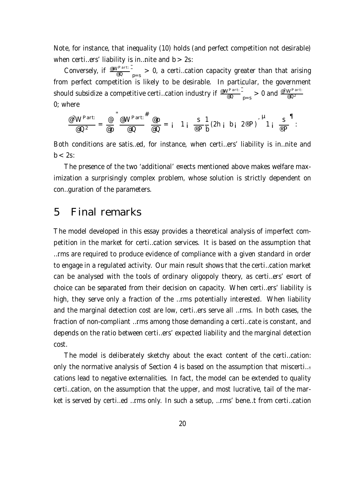Note, for instance, that inequality (10) holds (and perfect competition not desirable) when certi…ers' liability is in…nite and  $b > 2s$ :

Conversely, if  $\frac{^{\circ}W^{\text{Part}}}{^{\circ}O}$ @Q  $\frac{1}{p}$  > 0, a certi...cation capacity greater than that arising from perfect competition is likely to be desirable. In particular, the government should subsidize a competitive certi...cation industry if  $\frac{\text{e}W^{\text{Part}:}}{\text{e}O}$ @Q  $\frac{1}{p}=s} > 0$  and  $\frac{\frac{a^2W^{\text{Part}}}{qQ^2}}{qQ^2}$ @Q<sup>2</sup> 0; where

$$
\frac{\text{e}^2 W^{\text{Part:}}}{\text{e} Q^2} = \frac{\text{e}}{\text{e} p} \frac{\text{e} W^{\text{Part:}}}{\text{e} Q} = i \quad 1 \, i \, \frac{s}{\text{e} p} \frac{1}{b} \left( 2 h \, i \, b \, i \, 2^\text{e} P \right)^2 \frac{\mu}{1} \, i \, \frac{s}{\text{e} p} \, \frac{\eta}{2}.
$$

Both conditions are satis…ed, for instance, when certi…ers' liability is in…nite and  $b < 2s$ :

The presence of the two 'additional' e¤ects mentioned above makes welfare maximization a surprisingly complex problem, whose solution is strictly dependent on con…guration of the parameters.

## 5 Final remarks

The model developed in this essay provides a theoretical analysis of imperfect competition in the market for certi…cation services. It is based on the assumption that …rms are required to produce evidence of compliance with a given standard in order to engage in a regulated activity. Our main result shows that the certi…cation market can be analysed with the tools of ordinary oligopoly theory, as certi...ers' e¤ort of choice can be separated from their decision on capacity. When certi…ers' liability is high, they serve only a fraction of the …rms potentially interested. When liability and the marginal detection cost are low, certi…ers serve all …rms. In both cases, the fraction of non-compliant …rms among those demanding a certi…cate is constant, and depends on the ratio between certi…ers' expected liability and the marginal detection cost.

The model is deliberately sketchy about the exact content of the certi…cation: only the normative analysis of Section 4 is based on the assumption that miscerti… cations lead to negative externalities. In fact, the model can be extended to quality certi…cation, on the assumption that the upper, and most lucrative, tail of the market is served by certi…ed …rms only. In such a setup, …rms' bene…t from certi…cation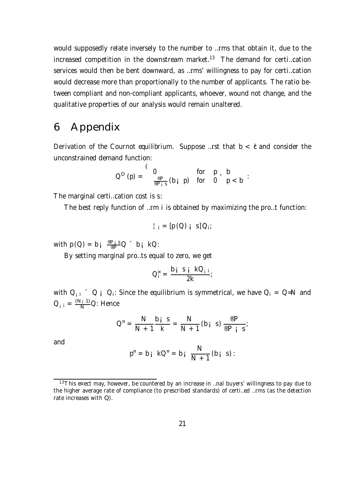would supposedly relate inversely to the number to …rms that obtain it, due to the increased competition in the downstream market. <sup>13</sup> The demand for certi…cation services would then be bent downward, as …rms' willingness to pay for certi…cation would decrease more than proportionally to the number of applicants. The ratio between compliant and non-compliant applicants, whoever, wound not change, and the qualitative properties of our analysis would remain unaltered.

### 6 Appendix

Derivation of the Cournot equilibrium. Suppose ... rst that  $b < c$  and consider the unconstrained demand function:

$$
Q^{D}(p) = \begin{cases} 0 & \text{for } p \text{ , } b \\ \frac{\text{op}}{\text{op}_{i} s} (b_i p) & \text{for } 0 \text{ } p < b \end{cases}.
$$

The marginal certi…cation cost is s:

The best reply function of …rm i is obtained by maximizing the pro…t function:

$$
|_{i} = [p(Q)]_{i} S]Q_{i};
$$

with  $p(Q) = b_i \frac{\text{op}_{i} s}{\text{op}} Q \circ b_i$  kQ:

By setting marginal pro…ts equal to zero, we get

$$
Q_i^* = \frac{b_i \cdot s_i \cdot kQ_{i-i}}{2k};
$$

with  $Q_{i,i} \in Q_i$  i  $Q_i$ : Since the equilibrium is symmetrical, we have  $Q_i = Q = N$  and  $Q_{i}$  i =  $\frac{(N_i - 1)}{N}Q$ : Hence

$$
Q^{n} = \frac{N}{N+1} \frac{b \, \mathsf{i} \, \mathsf{j} \, \mathsf{s}}{k} = \frac{N}{N+1} \left( b \, \mathsf{i} \, \mathsf{j} \right) \frac{\mathsf{d} \mathsf{p}}{\mathsf{d} \mathsf{p} \, \mathsf{j} \, \mathsf{j}};
$$

and

$$
p^{\alpha} = b \, j \, kQ^{\alpha} = b \, j \, \frac{N}{N+1} (b \, j \, s) :
$$

 $13$ This e¤ect may, however, be countered by an increase in ... nal buyers' willingness to pay due to the higher average rate of compliance (to prescribed standards) of certi…ed …rms (as the detection rate increases with Q).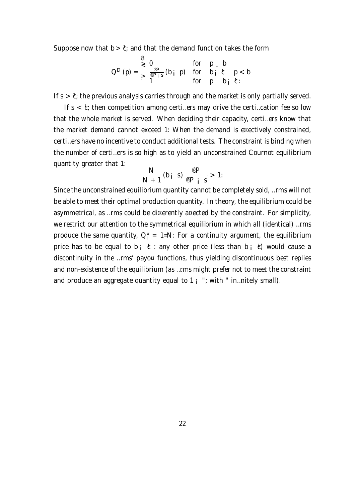Suppose now that  $b > c$ ; and that the demand function takes the form

$$
Q^{D} (p) = \sum_{\geq 0}^{\infty} \frac{\binom{p}{p}}{1 - \binom{p}{p}} \quad \text{for} \quad p \quad \text{for} \quad p < b
$$
\n
$$
Q^{D} (p) = \sum_{\geq 0}^{\infty} \frac{\binom{p}{p}}{1 - \binom{p}{p}} \quad \text{for} \quad p \quad \text{for} \quad p \quad \text{if} \quad p < b
$$

If  $s > \hat{c}$ ; the previous analysis carries through and the market is only partially served.

If  $s < 0$ ; then competition among certi…ers may drive the certi…cation fee so low that the whole market is served. When deciding their capacity, certi…ers know that the market demand cannot exceed 1: When the demand is e¤ectively constrained, certi…ers have no incentive to conduct additional tests. The constraint is binding when the number of certi…ers is so high as to yield an unconstrained Cournot equilibrium quantity greater that 1:

$$
\frac{N}{N+1} (b_i s) \frac{\text{P}}{\text{P} i s} > 1:
$$

Since the unconstrained equilibrium quantity cannot be completely sold, …rms will not be able to meet their optimal production quantity. In theory, the equilibrium could be asymmetrical, as …rms could be di¤erently a¤ected by the constraint. For simplicity, we restrict our attention to the symmetrical equilibrium in which all (identical) …rms produce the same quantity,  $Q_i^* = 1=N$ : For a continuity argument, the equilibrium price has to be equal to b;  $d :$  any other price (less than b; d) would cause a discontinuity in the …rms' payo¤ functions, thus yielding discontinuous best replies and non-existence of the equilibrium (as …rms might prefer not to meet the constraint and produce an aggregate quantity equal to  $1<sub>i</sub>$  "; with " in... nitely small).